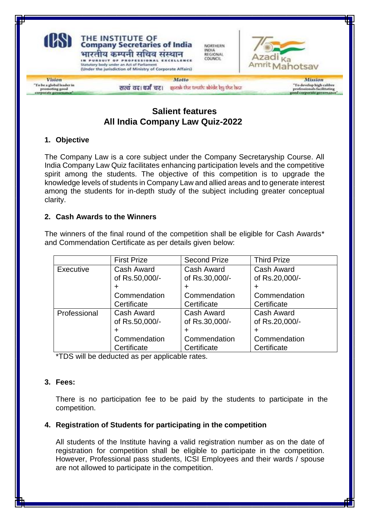

# **Salient features All India Company Law Quiz-2022**

# **1. Objective**

The Company Law is a core subject under the Company Secretaryship Course. All India Company Law Quiz facilitates enhancing participation levels and the competitive spirit among the students. The objective of this competition is to upgrade the knowledge levels of students in Company Law and allied areas and to generate interest among the students for in-depth study of the subject including greater conceptual clarity.

# **2. Cash Awards to the Winners**

The winners of the final round of the competition shall be eligible for Cash Awards\* and Commendation Certificate as per details given below:

|              | <b>First Prize</b> | <b>Second Prize</b> | <b>Third Prize</b> |
|--------------|--------------------|---------------------|--------------------|
| Executive    | Cash Award         | Cash Award          | Cash Award         |
|              | of Rs.50,000/-     | of Rs.30,000/-      | of Rs.20,000/-     |
|              | ÷                  | ٠                   | ÷                  |
|              | Commendation       | Commendation        | Commendation       |
|              | Certificate        | Certificate         | Certificate        |
| Professional | Cash Award         | Cash Award          | Cash Award         |
|              | of Rs.50,000/-     | of Rs.30,000/-      | of Rs.20,000/-     |
|              | +                  |                     | ٠                  |
|              | Commendation       | Commendation        | Commendation       |
|              | Certificate        | Certificate         | Certificate        |

\*TDS will be deducted as per applicable rates.

## **3. Fees:**

There is no participation fee to be paid by the students to participate in the competition.

## **4. Registration of Students for participating in the competition**

All students of the Institute having a valid registration number as on the date of registration for competition shall be eligible to participate in the competition. However, Professional pass students, ICSI Employees and their wards / spouse are not allowed to participate in the competition.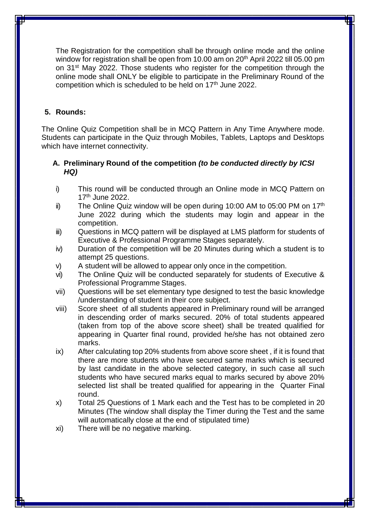The Registration for the competition shall be through online mode and the online window for registration shall be open from 10.00 am on 20<sup>th</sup> April 2022 till 05.00 pm on 31st May 2022. Those students who register for the competition through the online mode shall ONLY be eligible to participate in the Preliminary Round of the competition which is scheduled to be held on 17<sup>th</sup> June 2022.

# **5. Rounds:**

The Online Quiz Competition shall be in MCQ Pattern in Any Time Anywhere mode. Students can participate in the Quiz through Mobiles, Tablets, Laptops and Desktops which have internet connectivity.

## **A. Preliminary Round of the competition** *(to be conducted directly by ICSI HQ)*

- i) This round will be conducted through an Online mode in MCQ Pattern on 17<sup>th</sup> June 2022.
- ii) The Online Quiz window will be open during 10:00 AM to 05:00 PM on  $17<sup>th</sup>$ June 2022 during which the students may login and appear in the competition.
- iii) Questions in MCQ pattern will be displayed at LMS platform for students of Executive & Professional Programme Stages separately.
- iv) Duration of the competition will be 20 Minutes during which a student is to attempt 25 questions.
- v) A student will be allowed to appear only once in the competition.
- vi) The Online Quiz will be conducted separately for students of Executive & Professional Programme Stages.
- vii) Questions will be set elementary type designed to test the basic knowledge /understanding of student in their core subject.
- viii) Score sheet of all students appeared in Preliminary round will be arranged in descending order of marks secured. 20% of total students appeared (taken from top of the above score sheet) shall be treated qualified for appearing in Quarter final round, provided he/she has not obtained zero marks.
- ix) After calculating top 20% students from above score sheet , if it is found that there are more students who have secured same marks which is secured by last candidate in the above selected category, in such case all such students who have secured marks equal to marks secured by above 20% selected list shall be treated qualified for appearing in the Quarter Final round.
- x) Total 25 Questions of 1 Mark each and the Test has to be completed in 20 Minutes (The window shall display the Timer during the Test and the same will automatically close at the end of stipulated time)
- xi) There will be no negative marking.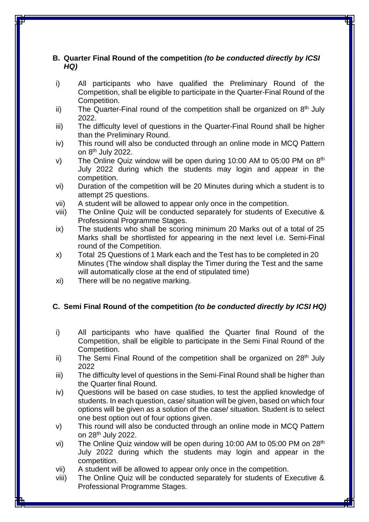# **B. Quarter Final Round of the competition** *(to be conducted directly by ICSI HQ)*

- i) All participants who have qualified the Preliminary Round of the Competition, shall be eligible to participate in the Quarter-Final Round of the Competition.
- ii) The Quarter-Final round of the competition shall be organized on  $8<sup>th</sup>$  July 2022.
- iii) The difficulty level of questions in the Quarter-Final Round shall be higher than the Preliminary Round.
- iv) This round will also be conducted through an online mode in MCQ Pattern on 8<sup>th</sup> July 2022.
- v) The Online Quiz window will be open during 10:00 AM to 05:00 PM on 8<sup>th</sup> July 2022 during which the students may login and appear in the competition.
- vi) Duration of the competition will be 20 Minutes during which a student is to attempt 25 questions.
- vii) A student will be allowed to appear only once in the competition.
- viii) The Online Quiz will be conducted separately for students of Executive & Professional Programme Stages.
- ix) The students who shall be scoring minimum 20 Marks out of a total of 25 Marks shall be shortlisted for appearing in the next level i.e. Semi-Final round of the Competition.
- x) Total 25 Questions of 1 Mark each and the Test has to be completed in 20 Minutes (The window shall display the Timer during the Test and the same will automatically close at the end of stipulated time)
- xi) There will be no negative marking.

## **C. Semi Final Round of the competition** *(to be conducted directly by ICSI HQ)*

- i) All participants who have qualified the Quarter final Round of the Competition, shall be eligible to participate in the Semi Final Round of the Competition.
- ii) The Semi Final Round of the competition shall be organized on  $28<sup>th</sup>$  July 2022
- iii) The difficulty level of questions in the Semi-Final Round shall be higher than the Quarter final Round.
- iv) Questions will be based on case studies, to test the applied knowledge of students. In each question, case/ situation will be given, based on which four options will be given as a solution of the case/ situation. Student is to select one best option out of four options given.
- v) This round will also be conducted through an online mode in MCQ Pattern on 28th July 2022.
- vi) The Online Quiz window will be open during 10:00 AM to 05:00 PM on 28<sup>th</sup> July 2022 during which the students may login and appear in the competition.
- vii) A student will be allowed to appear only once in the competition.
- viii) The Online Quiz will be conducted separately for students of Executive & Professional Programme Stages.